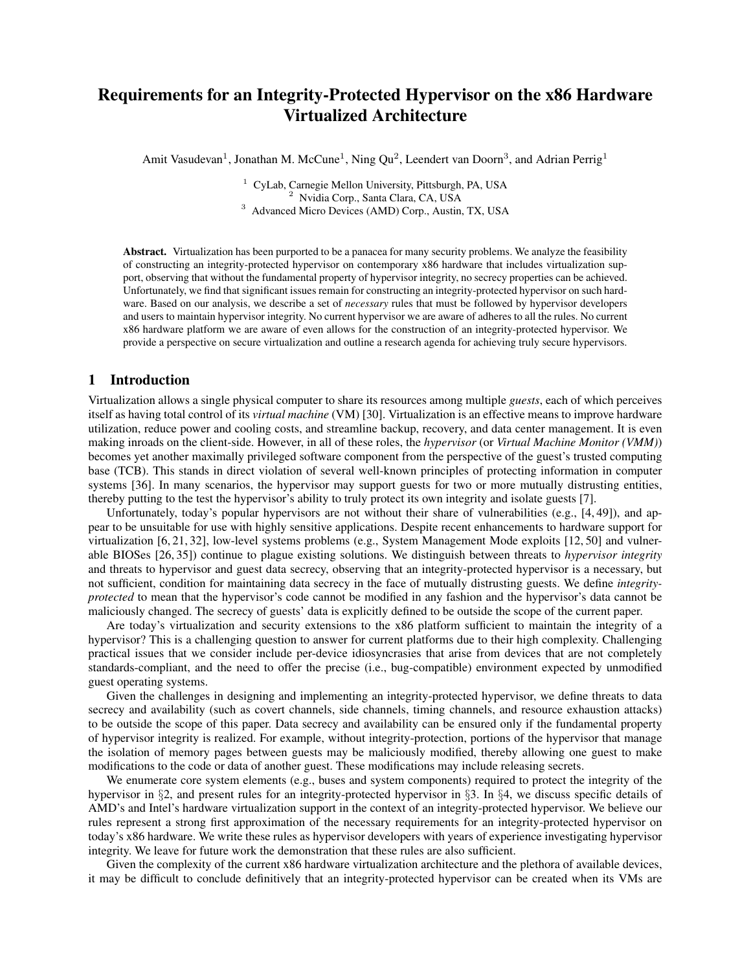# Requirements for an Integrity-Protected Hypervisor on the x86 Hardware Virtualized Architecture

Amit Vasudevan<sup>1</sup>, Jonathan M. McCune<sup>1</sup>, Ning Qu<sup>2</sup>, Leendert van Doorn<sup>3</sup>, and Adrian Perrig<sup>1</sup>

<sup>1</sup> CyLab, Carnegie Mellon University, Pittsburgh, PA, USA <sup>2</sup> Nvidia Corp., Santa Clara, CA, USA <sup>3</sup> Advanced Micro Devices (AMD) Corp., Austin, TX, USA

Abstract. Virtualization has been purported to be a panacea for many security problems. We analyze the feasibility of constructing an integrity-protected hypervisor on contemporary x86 hardware that includes virtualization support, observing that without the fundamental property of hypervisor integrity, no secrecy properties can be achieved. Unfortunately, we find that significant issues remain for constructing an integrity-protected hypervisor on such hardware. Based on our analysis, we describe a set of *necessary* rules that must be followed by hypervisor developers and users to maintain hypervisor integrity. No current hypervisor we are aware of adheres to all the rules. No current x86 hardware platform we are aware of even allows for the construction of an integrity-protected hypervisor. We provide a perspective on secure virtualization and outline a research agenda for achieving truly secure hypervisors.

# 1 Introduction

Virtualization allows a single physical computer to share its resources among multiple *guests*, each of which perceives itself as having total control of its *virtual machine* (VM) [30]. Virtualization is an effective means to improve hardware utilization, reduce power and cooling costs, and streamline backup, recovery, and data center management. It is even making inroads on the client-side. However, in all of these roles, the *hypervisor* (or *Virtual Machine Monitor (VMM)*) becomes yet another maximally privileged software component from the perspective of the guest's trusted computing base (TCB). This stands in direct violation of several well-known principles of protecting information in computer systems [36]. In many scenarios, the hypervisor may support guests for two or more mutually distrusting entities, thereby putting to the test the hypervisor's ability to truly protect its own integrity and isolate guests [7].

Unfortunately, today's popular hypervisors are not without their share of vulnerabilities (e.g., [4, 49]), and appear to be unsuitable for use with highly sensitive applications. Despite recent enhancements to hardware support for virtualization [6, 21, 32], low-level systems problems (e.g., System Management Mode exploits [12, 50] and vulnerable BIOSes [26, 35]) continue to plague existing solutions. We distinguish between threats to *hypervisor integrity* and threats to hypervisor and guest data secrecy, observing that an integrity-protected hypervisor is a necessary, but not sufficient, condition for maintaining data secrecy in the face of mutually distrusting guests. We define *integrityprotected* to mean that the hypervisor's code cannot be modified in any fashion and the hypervisor's data cannot be maliciously changed. The secrecy of guests' data is explicitly defined to be outside the scope of the current paper.

Are today's virtualization and security extensions to the x86 platform sufficient to maintain the integrity of a hypervisor? This is a challenging question to answer for current platforms due to their high complexity. Challenging practical issues that we consider include per-device idiosyncrasies that arise from devices that are not completely standards-compliant, and the need to offer the precise (i.e., bug-compatible) environment expected by unmodified guest operating systems.

Given the challenges in designing and implementing an integrity-protected hypervisor, we define threats to data secrecy and availability (such as covert channels, side channels, timing channels, and resource exhaustion attacks) to be outside the scope of this paper. Data secrecy and availability can be ensured only if the fundamental property of hypervisor integrity is realized. For example, without integrity-protection, portions of the hypervisor that manage the isolation of memory pages between guests may be maliciously modified, thereby allowing one guest to make modifications to the code or data of another guest. These modifications may include releasing secrets.

We enumerate core system elements (e.g., buses and system components) required to protect the integrity of the hypervisor in §2, and present rules for an integrity-protected hypervisor in §3. In §4, we discuss specific details of AMD's and Intel's hardware virtualization support in the context of an integrity-protected hypervisor. We believe our rules represent a strong first approximation of the necessary requirements for an integrity-protected hypervisor on today's x86 hardware. We write these rules as hypervisor developers with years of experience investigating hypervisor integrity. We leave for future work the demonstration that these rules are also sufficient.

Given the complexity of the current x86 hardware virtualization architecture and the plethora of available devices, it may be difficult to conclude definitively that an integrity-protected hypervisor can be created when its VMs are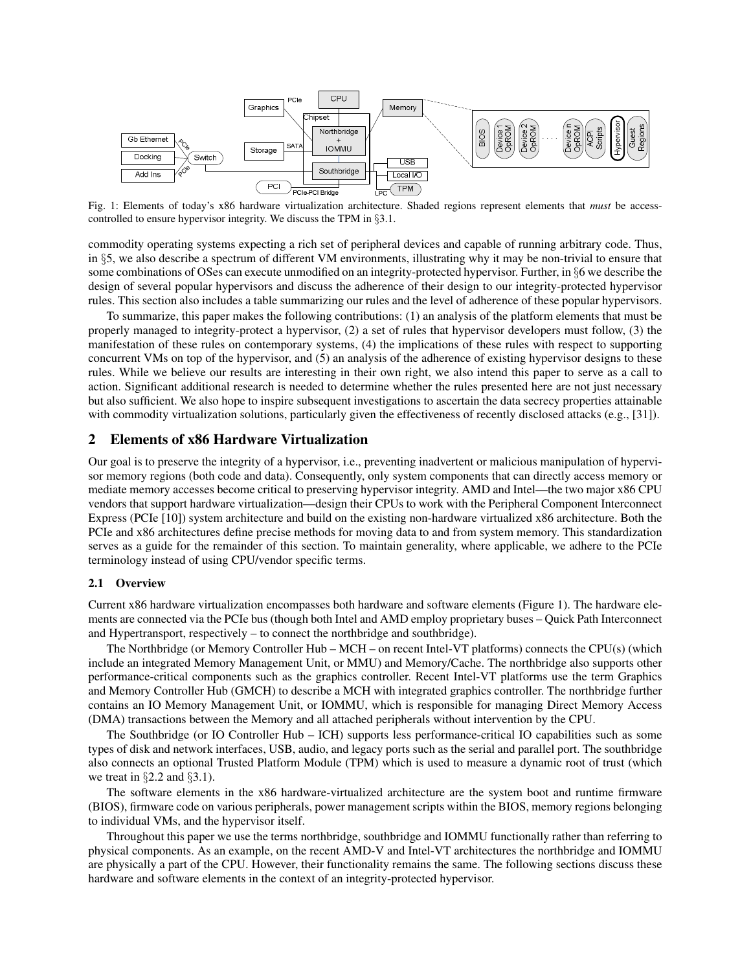

Fig. 1: Elements of today's x86 hardware virtualization architecture. Shaded regions represent elements that *must* be accesscontrolled to ensure hypervisor integrity. We discuss the TPM in §3.1.

commodity operating systems expecting a rich set of peripheral devices and capable of running arbitrary code. Thus, in §5, we also describe a spectrum of different VM environments, illustrating why it may be non-trivial to ensure that some combinations of OSes can execute unmodified on an integrity-protected hypervisor. Further, in §6 we describe the design of several popular hypervisors and discuss the adherence of their design to our integrity-protected hypervisor rules. This section also includes a table summarizing our rules and the level of adherence of these popular hypervisors.

To summarize, this paper makes the following contributions: (1) an analysis of the platform elements that must be properly managed to integrity-protect a hypervisor, (2) a set of rules that hypervisor developers must follow, (3) the manifestation of these rules on contemporary systems, (4) the implications of these rules with respect to supporting concurrent VMs on top of the hypervisor, and (5) an analysis of the adherence of existing hypervisor designs to these rules. While we believe our results are interesting in their own right, we also intend this paper to serve as a call to action. Significant additional research is needed to determine whether the rules presented here are not just necessary but also sufficient. We also hope to inspire subsequent investigations to ascertain the data secrecy properties attainable with commodity virtualization solutions, particularly given the effectiveness of recently disclosed attacks (e.g., [31]).

## 2 Elements of x86 Hardware Virtualization

Our goal is to preserve the integrity of a hypervisor, i.e., preventing inadvertent or malicious manipulation of hypervisor memory regions (both code and data). Consequently, only system components that can directly access memory or mediate memory accesses become critical to preserving hypervisor integrity. AMD and Intel—the two major x86 CPU vendors that support hardware virtualization—design their CPUs to work with the Peripheral Component Interconnect Express (PCIe [10]) system architecture and build on the existing non-hardware virtualized x86 architecture. Both the PCIe and x86 architectures define precise methods for moving data to and from system memory. This standardization serves as a guide for the remainder of this section. To maintain generality, where applicable, we adhere to the PCIe terminology instead of using CPU/vendor specific terms.

#### 2.1 Overview

Current x86 hardware virtualization encompasses both hardware and software elements (Figure 1). The hardware elements are connected via the PCIe bus (though both Intel and AMD employ proprietary buses – Quick Path Interconnect and Hypertransport, respectively – to connect the northbridge and southbridge).

The Northbridge (or Memory Controller Hub – MCH – on recent Intel-VT platforms) connects the CPU(s) (which include an integrated Memory Management Unit, or MMU) and Memory/Cache. The northbridge also supports other performance-critical components such as the graphics controller. Recent Intel-VT platforms use the term Graphics and Memory Controller Hub (GMCH) to describe a MCH with integrated graphics controller. The northbridge further contains an IO Memory Management Unit, or IOMMU, which is responsible for managing Direct Memory Access (DMA) transactions between the Memory and all attached peripherals without intervention by the CPU.

The Southbridge (or IO Controller Hub – ICH) supports less performance-critical IO capabilities such as some types of disk and network interfaces, USB, audio, and legacy ports such as the serial and parallel port. The southbridge also connects an optional Trusted Platform Module (TPM) which is used to measure a dynamic root of trust (which we treat in  $\S 2.2$  and  $\S 3.1$ ).

The software elements in the x86 hardware-virtualized architecture are the system boot and runtime firmware (BIOS), firmware code on various peripherals, power management scripts within the BIOS, memory regions belonging to individual VMs, and the hypervisor itself.

Throughout this paper we use the terms northbridge, southbridge and IOMMU functionally rather than referring to physical components. As an example, on the recent AMD-V and Intel-VT architectures the northbridge and IOMMU are physically a part of the CPU. However, their functionality remains the same. The following sections discuss these hardware and software elements in the context of an integrity-protected hypervisor.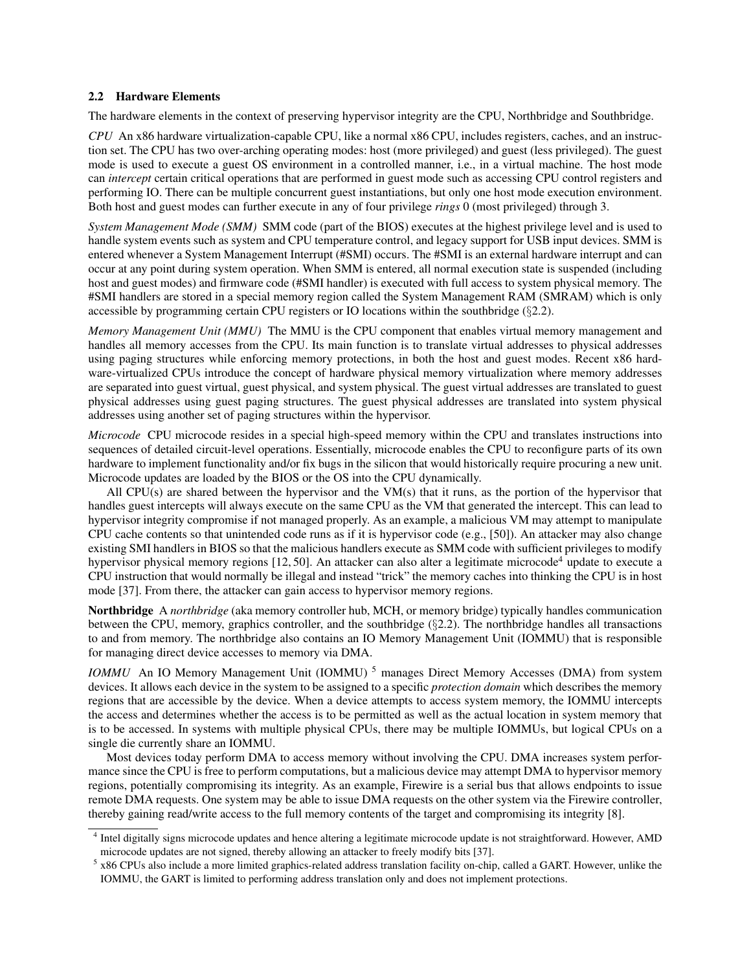#### 2.2 Hardware Elements

The hardware elements in the context of preserving hypervisor integrity are the CPU, Northbridge and Southbridge.

*CPU* An x86 hardware virtualization-capable CPU, like a normal x86 CPU, includes registers, caches, and an instruction set. The CPU has two over-arching operating modes: host (more privileged) and guest (less privileged). The guest mode is used to execute a guest OS environment in a controlled manner, i.e., in a virtual machine. The host mode can *intercept* certain critical operations that are performed in guest mode such as accessing CPU control registers and performing IO. There can be multiple concurrent guest instantiations, but only one host mode execution environment. Both host and guest modes can further execute in any of four privilege *rings* 0 (most privileged) through 3.

*System Management Mode (SMM)* SMM code (part of the BIOS) executes at the highest privilege level and is used to handle system events such as system and CPU temperature control, and legacy support for USB input devices. SMM is entered whenever a System Management Interrupt (#SMI) occurs. The #SMI is an external hardware interrupt and can occur at any point during system operation. When SMM is entered, all normal execution state is suspended (including host and guest modes) and firmware code (#SMI handler) is executed with full access to system physical memory. The #SMI handlers are stored in a special memory region called the System Management RAM (SMRAM) which is only accessible by programming certain CPU registers or IO locations within the southbridge  $(\S2.2)$ .

*Memory Management Unit (MMU)* The MMU is the CPU component that enables virtual memory management and handles all memory accesses from the CPU. Its main function is to translate virtual addresses to physical addresses using paging structures while enforcing memory protections, in both the host and guest modes. Recent x86 hardware-virtualized CPUs introduce the concept of hardware physical memory virtualization where memory addresses are separated into guest virtual, guest physical, and system physical. The guest virtual addresses are translated to guest physical addresses using guest paging structures. The guest physical addresses are translated into system physical addresses using another set of paging structures within the hypervisor.

*Microcode* CPU microcode resides in a special high-speed memory within the CPU and translates instructions into sequences of detailed circuit-level operations. Essentially, microcode enables the CPU to reconfigure parts of its own hardware to implement functionality and/or fix bugs in the silicon that would historically require procuring a new unit. Microcode updates are loaded by the BIOS or the OS into the CPU dynamically.

All CPU(s) are shared between the hypervisor and the VM(s) that it runs, as the portion of the hypervisor that handles guest intercepts will always execute on the same CPU as the VM that generated the intercept. This can lead to hypervisor integrity compromise if not managed properly. As an example, a malicious VM may attempt to manipulate CPU cache contents so that unintended code runs as if it is hypervisor code (e.g., [50]). An attacker may also change existing SMI handlers in BIOS so that the malicious handlers execute as SMM code with sufficient privileges to modify hypervisor physical memory regions  $[12, 50]$ . An attacker can also alter a legitimate microcode<sup>4</sup> update to execute a CPU instruction that would normally be illegal and instead "trick" the memory caches into thinking the CPU is in host mode [37]. From there, the attacker can gain access to hypervisor memory regions.

Northbridge A *northbridge* (aka memory controller hub, MCH, or memory bridge) typically handles communication between the CPU, memory, graphics controller, and the southbridge (§2.2). The northbridge handles all transactions to and from memory. The northbridge also contains an IO Memory Management Unit (IOMMU) that is responsible for managing direct device accesses to memory via DMA.

*IOMMU* An IO Memory Management Unit (IOMMU)<sup>5</sup> manages Direct Memory Accesses (DMA) from system devices. It allows each device in the system to be assigned to a specific *protection domain* which describes the memory regions that are accessible by the device. When a device attempts to access system memory, the IOMMU intercepts the access and determines whether the access is to be permitted as well as the actual location in system memory that is to be accessed. In systems with multiple physical CPUs, there may be multiple IOMMUs, but logical CPUs on a single die currently share an IOMMU.

Most devices today perform DMA to access memory without involving the CPU. DMA increases system performance since the CPU is free to perform computations, but a malicious device may attempt DMA to hypervisor memory regions, potentially compromising its integrity. As an example, Firewire is a serial bus that allows endpoints to issue remote DMA requests. One system may be able to issue DMA requests on the other system via the Firewire controller, thereby gaining read/write access to the full memory contents of the target and compromising its integrity [8].

<sup>4</sup> Intel digitally signs microcode updates and hence altering a legitimate microcode update is not straightforward. However, AMD microcode updates are not signed, thereby allowing an attacker to freely modify bits [37].

 $5 \times 86$  CPUs also include a more limited graphics-related address translation facility on-chip, called a GART. However, unlike the IOMMU, the GART is limited to performing address translation only and does not implement protections.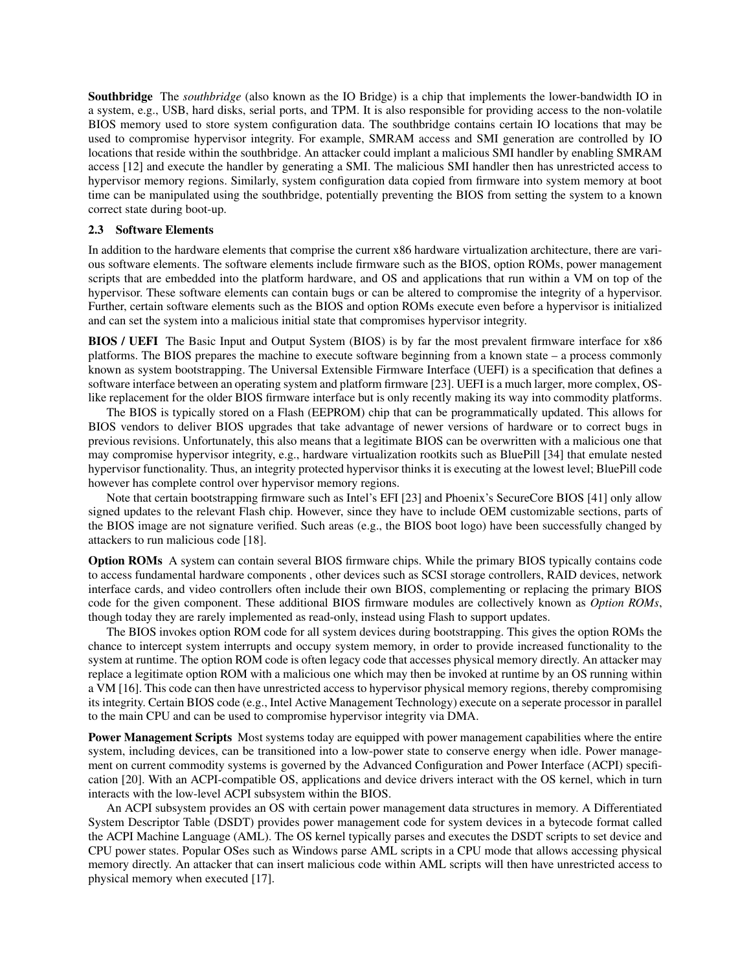Southbridge The *southbridge* (also known as the IO Bridge) is a chip that implements the lower-bandwidth IO in a system, e.g., USB, hard disks, serial ports, and TPM. It is also responsible for providing access to the non-volatile BIOS memory used to store system configuration data. The southbridge contains certain IO locations that may be used to compromise hypervisor integrity. For example, SMRAM access and SMI generation are controlled by IO locations that reside within the southbridge. An attacker could implant a malicious SMI handler by enabling SMRAM access [12] and execute the handler by generating a SMI. The malicious SMI handler then has unrestricted access to hypervisor memory regions. Similarly, system configuration data copied from firmware into system memory at boot time can be manipulated using the southbridge, potentially preventing the BIOS from setting the system to a known correct state during boot-up.

#### 2.3 Software Elements

In addition to the hardware elements that comprise the current x86 hardware virtualization architecture, there are various software elements. The software elements include firmware such as the BIOS, option ROMs, power management scripts that are embedded into the platform hardware, and OS and applications that run within a VM on top of the hypervisor. These software elements can contain bugs or can be altered to compromise the integrity of a hypervisor. Further, certain software elements such as the BIOS and option ROMs execute even before a hypervisor is initialized and can set the system into a malicious initial state that compromises hypervisor integrity.

BIOS / UEFI The Basic Input and Output System (BIOS) is by far the most prevalent firmware interface for x86 platforms. The BIOS prepares the machine to execute software beginning from a known state – a process commonly known as system bootstrapping. The Universal Extensible Firmware Interface (UEFI) is a specification that defines a software interface between an operating system and platform firmware [23]. UEFI is a much larger, more complex, OSlike replacement for the older BIOS firmware interface but is only recently making its way into commodity platforms.

The BIOS is typically stored on a Flash (EEPROM) chip that can be programmatically updated. This allows for BIOS vendors to deliver BIOS upgrades that take advantage of newer versions of hardware or to correct bugs in previous revisions. Unfortunately, this also means that a legitimate BIOS can be overwritten with a malicious one that may compromise hypervisor integrity, e.g., hardware virtualization rootkits such as BluePill [34] that emulate nested hypervisor functionality. Thus, an integrity protected hypervisor thinks it is executing at the lowest level; BluePill code however has complete control over hypervisor memory regions.

Note that certain bootstrapping firmware such as Intel's EFI [23] and Phoenix's SecureCore BIOS [41] only allow signed updates to the relevant Flash chip. However, since they have to include OEM customizable sections, parts of the BIOS image are not signature verified. Such areas (e.g., the BIOS boot logo) have been successfully changed by attackers to run malicious code [18].

Option ROMs A system can contain several BIOS firmware chips. While the primary BIOS typically contains code to access fundamental hardware components , other devices such as SCSI storage controllers, RAID devices, network interface cards, and video controllers often include their own BIOS, complementing or replacing the primary BIOS code for the given component. These additional BIOS firmware modules are collectively known as *Option ROMs*, though today they are rarely implemented as read-only, instead using Flash to support updates.

The BIOS invokes option ROM code for all system devices during bootstrapping. This gives the option ROMs the chance to intercept system interrupts and occupy system memory, in order to provide increased functionality to the system at runtime. The option ROM code is often legacy code that accesses physical memory directly. An attacker may replace a legitimate option ROM with a malicious one which may then be invoked at runtime by an OS running within a VM [16]. This code can then have unrestricted access to hypervisor physical memory regions, thereby compromising its integrity. Certain BIOS code (e.g., Intel Active Management Technology) execute on a seperate processor in parallel to the main CPU and can be used to compromise hypervisor integrity via DMA.

Power Management Scripts Most systems today are equipped with power management capabilities where the entire system, including devices, can be transitioned into a low-power state to conserve energy when idle. Power management on current commodity systems is governed by the Advanced Configuration and Power Interface (ACPI) specification [20]. With an ACPI-compatible OS, applications and device drivers interact with the OS kernel, which in turn interacts with the low-level ACPI subsystem within the BIOS.

An ACPI subsystem provides an OS with certain power management data structures in memory. A Differentiated System Descriptor Table (DSDT) provides power management code for system devices in a bytecode format called the ACPI Machine Language (AML). The OS kernel typically parses and executes the DSDT scripts to set device and CPU power states. Popular OSes such as Windows parse AML scripts in a CPU mode that allows accessing physical memory directly. An attacker that can insert malicious code within AML scripts will then have unrestricted access to physical memory when executed [17].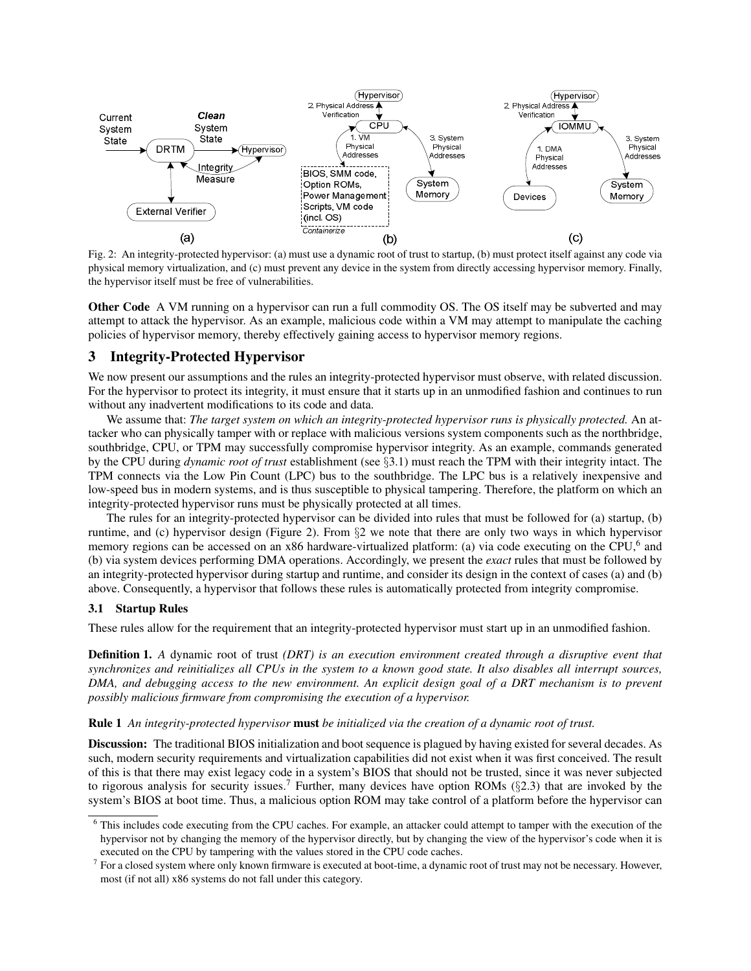

Fig. 2: An integrity-protected hypervisor: (a) must use a dynamic root of trust to startup, (b) must protect itself against any code via physical memory virtualization, and (c) must prevent any device in the system from directly accessing hypervisor memory. Finally, the hypervisor itself must be free of vulnerabilities.

Other Code A VM running on a hypervisor can run a full commodity OS. The OS itself may be subverted and may attempt to attack the hypervisor. As an example, malicious code within a VM may attempt to manipulate the caching policies of hypervisor memory, thereby effectively gaining access to hypervisor memory regions.

# 3 Integrity-Protected Hypervisor

We now present our assumptions and the rules an integrity-protected hypervisor must observe, with related discussion. For the hypervisor to protect its integrity, it must ensure that it starts up in an unmodified fashion and continues to run without any inadvertent modifications to its code and data.

We assume that: *The target system on which an integrity-protected hypervisor runs is physically protected.* An attacker who can physically tamper with or replace with malicious versions system components such as the northbridge, southbridge, CPU, or TPM may successfully compromise hypervisor integrity. As an example, commands generated by the CPU during *dynamic root of trust* establishment (see §3.1) must reach the TPM with their integrity intact. The TPM connects via the Low Pin Count (LPC) bus to the southbridge. The LPC bus is a relatively inexpensive and low-speed bus in modern systems, and is thus susceptible to physical tampering. Therefore, the platform on which an integrity-protected hypervisor runs must be physically protected at all times.

The rules for an integrity-protected hypervisor can be divided into rules that must be followed for (a) startup, (b) runtime, and (c) hypervisor design (Figure 2). From §2 we note that there are only two ways in which hypervisor memory regions can be accessed on an x86 hardware-virtualized platform: (a) via code executing on the CPU,<sup>6</sup> and (b) via system devices performing DMA operations. Accordingly, we present the *exact* rules that must be followed by an integrity-protected hypervisor during startup and runtime, and consider its design in the context of cases (a) and (b) above. Consequently, a hypervisor that follows these rules is automatically protected from integrity compromise.

#### 3.1 Startup Rules

These rules allow for the requirement that an integrity-protected hypervisor must start up in an unmodified fashion.

Definition 1. *A* dynamic root of trust *(DRT) is an execution environment created through a disruptive event that synchronizes and reinitializes all CPUs in the system to a known good state. It also disables all interrupt sources, DMA, and debugging access to the new environment. An explicit design goal of a DRT mechanism is to prevent possibly malicious firmware from compromising the execution of a hypervisor.*

#### Rule 1 *An integrity-protected hypervisor* must *be initialized via the creation of a dynamic root of trust.*

Discussion: The traditional BIOS initialization and boot sequence is plagued by having existed for several decades. As such, modern security requirements and virtualization capabilities did not exist when it was first conceived. The result of this is that there may exist legacy code in a system's BIOS that should not be trusted, since it was never subjected to rigorous analysis for security issues.<sup>7</sup> Further, many devices have option ROMs ( $\S$ 2.3) that are invoked by the system's BIOS at boot time. Thus, a malicious option ROM may take control of a platform before the hypervisor can

<sup>&</sup>lt;sup>6</sup> This includes code executing from the CPU caches. For example, an attacker could attempt to tamper with the execution of the hypervisor not by changing the memory of the hypervisor directly, but by changing the view of the hypervisor's code when it is executed on the CPU by tampering with the values stored in the CPU code caches.

 $^7$  For a closed system where only known firmware is executed at boot-time, a dynamic root of trust may not be necessary. However, most (if not all) x86 systems do not fall under this category.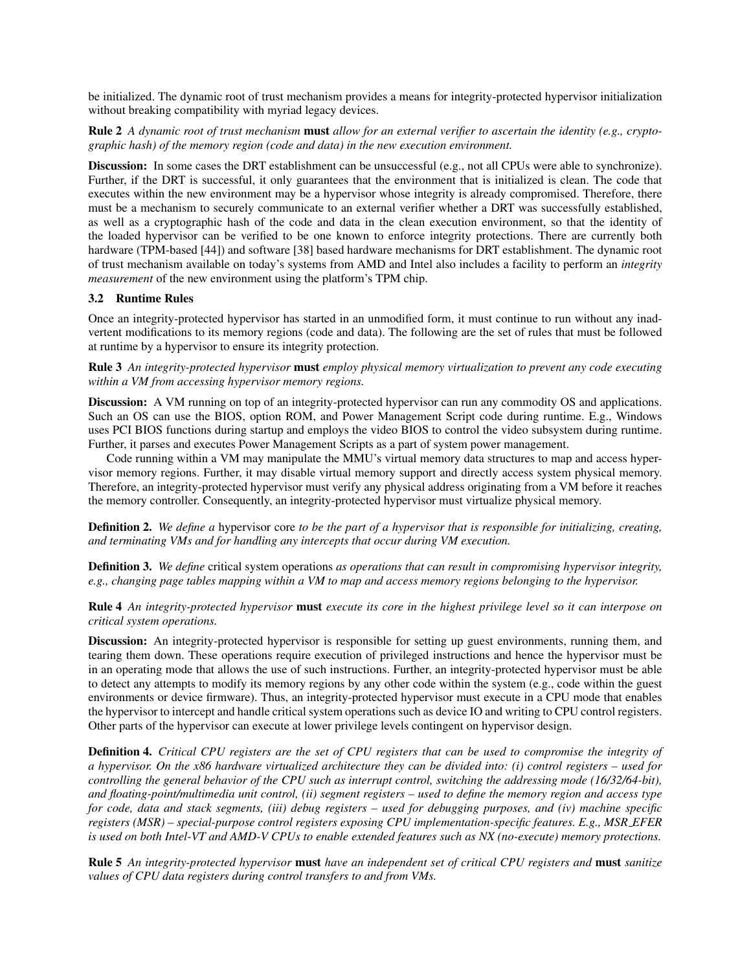be initialized. The dynamic root of trust mechanism provides a means for integrity-protected hypervisor initialization without breaking compatibility with myriad legacy devices.

Rule 2 *A dynamic root of trust mechanism* must *allow for an external verifier to ascertain the identity (e.g., cryptographic hash) of the memory region (code and data) in the new execution environment.*

Discussion: In some cases the DRT establishment can be unsuccessful (e.g., not all CPUs were able to synchronize). Further, if the DRT is successful, it only guarantees that the environment that is initialized is clean. The code that executes within the new environment may be a hypervisor whose integrity is already compromised. Therefore, there must be a mechanism to securely communicate to an external verifier whether a DRT was successfully established, as well as a cryptographic hash of the code and data in the clean execution environment, so that the identity of the loaded hypervisor can be verified to be one known to enforce integrity protections. There are currently both hardware (TPM-based [44]) and software [38] based hardware mechanisms for DRT establishment. The dynamic root of trust mechanism available on today's systems from AMD and Intel also includes a facility to perform an *integrity measurement* of the new environment using the platform's TPM chip.

## 3.2 Runtime Rules

Once an integrity-protected hypervisor has started in an unmodified form, it must continue to run without any inadvertent modifications to its memory regions (code and data). The following are the set of rules that must be followed at runtime by a hypervisor to ensure its integrity protection.

Rule 3 *An integrity-protected hypervisor* must *employ physical memory virtualization to prevent any code executing within a VM from accessing hypervisor memory regions.*

Discussion: A VM running on top of an integrity-protected hypervisor can run any commodity OS and applications. Such an OS can use the BIOS, option ROM, and Power Management Script code during runtime. E.g., Windows uses PCI BIOS functions during startup and employs the video BIOS to control the video subsystem during runtime. Further, it parses and executes Power Management Scripts as a part of system power management.

Code running within a VM may manipulate the MMU's virtual memory data structures to map and access hypervisor memory regions. Further, it may disable virtual memory support and directly access system physical memory. Therefore, an integrity-protected hypervisor must verify any physical address originating from a VM before it reaches the memory controller. Consequently, an integrity-protected hypervisor must virtualize physical memory.

Definition 2. *We define a* hypervisor core *to be the part of a hypervisor that is responsible for initializing, creating, and terminating VMs and for handling any intercepts that occur during VM execution.*

Definition 3. *We define* critical system operations *as operations that can result in compromising hypervisor integrity, e.g., changing page tables mapping within a VM to map and access memory regions belonging to the hypervisor.*

Rule 4 *An integrity-protected hypervisor* must *execute its core in the highest privilege level so it can interpose on critical system operations.*

Discussion: An integrity-protected hypervisor is responsible for setting up guest environments, running them, and tearing them down. These operations require execution of privileged instructions and hence the hypervisor must be in an operating mode that allows the use of such instructions. Further, an integrity-protected hypervisor must be able to detect any attempts to modify its memory regions by any other code within the system (e.g., code within the guest environments or device firmware). Thus, an integrity-protected hypervisor must execute in a CPU mode that enables the hypervisor to intercept and handle critical system operations such as device IO and writing to CPU control registers. Other parts of the hypervisor can execute at lower privilege levels contingent on hypervisor design.

Definition 4. *Critical CPU registers are the set of CPU registers that can be used to compromise the integrity of a hypervisor. On the x86 hardware virtualized architecture they can be divided into: (i) control registers – used for controlling the general behavior of the CPU such as interrupt control, switching the addressing mode (16/32/64-bit), and floating-point/multimedia unit control, (ii) segment registers – used to define the memory region and access type for code, data and stack segments, (iii) debug registers – used for debugging purposes, and (iv) machine specific registers (MSR) – special-purpose control registers exposing CPU implementation-specific features. E.g., MSR EFER is used on both Intel-VT and AMD-V CPUs to enable extended features such as NX (no-execute) memory protections.*

Rule 5 *An integrity-protected hypervisor* must *have an independent set of critical CPU registers and* must *sanitize values of CPU data registers during control transfers to and from VMs.*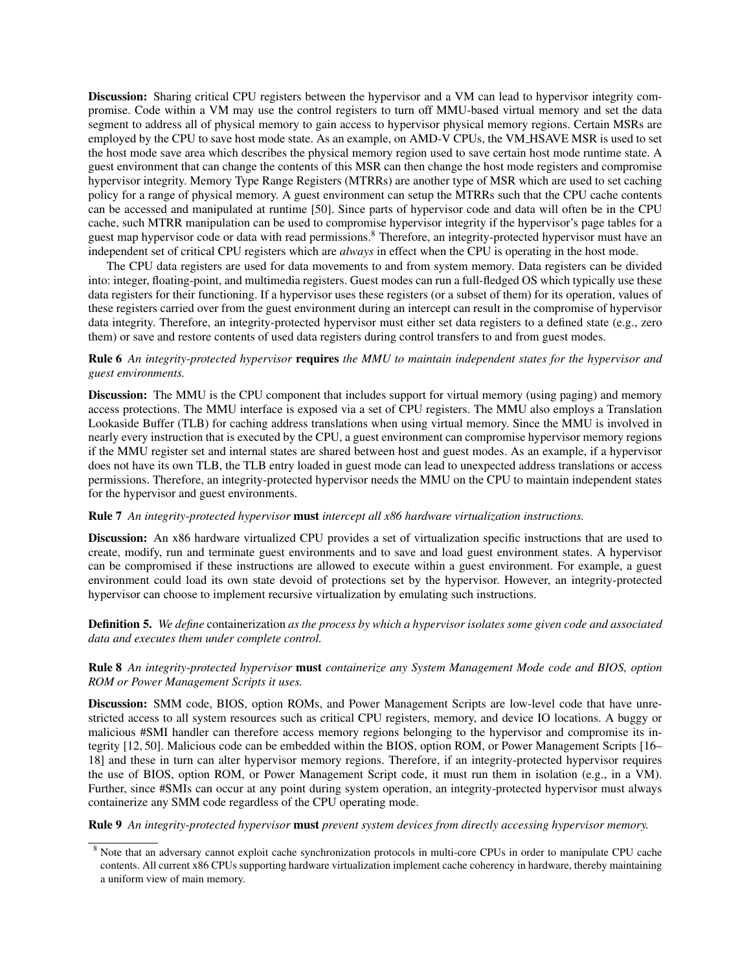Discussion: Sharing critical CPU registers between the hypervisor and a VM can lead to hypervisor integrity compromise. Code within a VM may use the control registers to turn off MMU-based virtual memory and set the data segment to address all of physical memory to gain access to hypervisor physical memory regions. Certain MSRs are employed by the CPU to save host mode state. As an example, on AMD-V CPUs, the VM HSAVE MSR is used to set the host mode save area which describes the physical memory region used to save certain host mode runtime state. A guest environment that can change the contents of this MSR can then change the host mode registers and compromise hypervisor integrity. Memory Type Range Registers (MTRRs) are another type of MSR which are used to set caching policy for a range of physical memory. A guest environment can setup the MTRRs such that the CPU cache contents can be accessed and manipulated at runtime [50]. Since parts of hypervisor code and data will often be in the CPU cache, such MTRR manipulation can be used to compromise hypervisor integrity if the hypervisor's page tables for a guest map hypervisor code or data with read permissions.<sup>8</sup> Therefore, an integrity-protected hypervisor must have an independent set of critical CPU registers which are *always* in effect when the CPU is operating in the host mode.

The CPU data registers are used for data movements to and from system memory. Data registers can be divided into: integer, floating-point, and multimedia registers. Guest modes can run a full-fledged OS which typically use these data registers for their functioning. If a hypervisor uses these registers (or a subset of them) for its operation, values of these registers carried over from the guest environment during an intercept can result in the compromise of hypervisor data integrity. Therefore, an integrity-protected hypervisor must either set data registers to a defined state (e.g., zero them) or save and restore contents of used data registers during control transfers to and from guest modes.

#### Rule 6 *An integrity-protected hypervisor* requires *the MMU to maintain independent states for the hypervisor and guest environments.*

**Discussion:** The MMU is the CPU component that includes support for virtual memory (using paging) and memory access protections. The MMU interface is exposed via a set of CPU registers. The MMU also employs a Translation Lookaside Buffer (TLB) for caching address translations when using virtual memory. Since the MMU is involved in nearly every instruction that is executed by the CPU, a guest environment can compromise hypervisor memory regions if the MMU register set and internal states are shared between host and guest modes. As an example, if a hypervisor does not have its own TLB, the TLB entry loaded in guest mode can lead to unexpected address translations or access permissions. Therefore, an integrity-protected hypervisor needs the MMU on the CPU to maintain independent states for the hypervisor and guest environments.

#### Rule 7 *An integrity-protected hypervisor* must *intercept all x86 hardware virtualization instructions.*

Discussion: An x86 hardware virtualized CPU provides a set of virtualization specific instructions that are used to create, modify, run and terminate guest environments and to save and load guest environment states. A hypervisor can be compromised if these instructions are allowed to execute within a guest environment. For example, a guest environment could load its own state devoid of protections set by the hypervisor. However, an integrity-protected hypervisor can choose to implement recursive virtualization by emulating such instructions.

## Definition 5. *We define* containerization *as the process by which a hypervisor isolates some given code and associated data and executes them under complete control.*

## Rule 8 *An integrity-protected hypervisor* must *containerize any System Management Mode code and BIOS, option ROM or Power Management Scripts it uses.*

Discussion: SMM code, BIOS, option ROMs, and Power Management Scripts are low-level code that have unrestricted access to all system resources such as critical CPU registers, memory, and device IO locations. A buggy or malicious #SMI handler can therefore access memory regions belonging to the hypervisor and compromise its integrity [12, 50]. Malicious code can be embedded within the BIOS, option ROM, or Power Management Scripts [16– 18] and these in turn can alter hypervisor memory regions. Therefore, if an integrity-protected hypervisor requires the use of BIOS, option ROM, or Power Management Script code, it must run them in isolation (e.g., in a VM). Further, since #SMIs can occur at any point during system operation, an integrity-protected hypervisor must always containerize any SMM code regardless of the CPU operating mode.

Rule 9 *An integrity-protected hypervisor* must *prevent system devices from directly accessing hypervisor memory.*

<sup>&</sup>lt;sup>8</sup> Note that an adversary cannot exploit cache synchronization protocols in multi-core CPUs in order to manipulate CPU cache contents. All current x86 CPUs supporting hardware virtualization implement cache coherency in hardware, thereby maintaining a uniform view of main memory.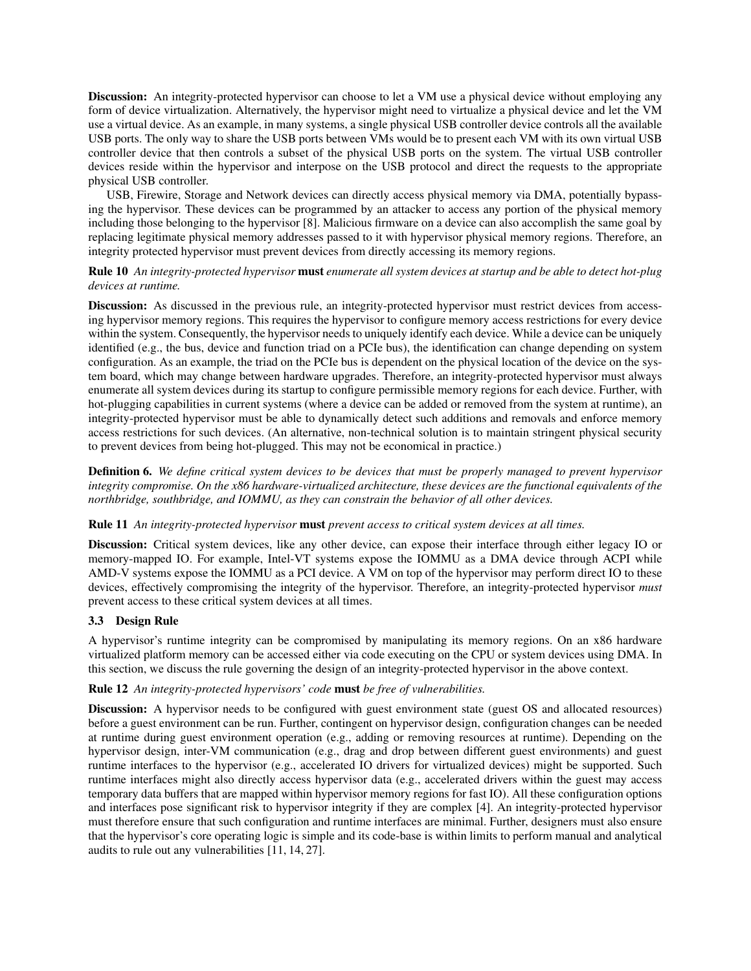Discussion: An integrity-protected hypervisor can choose to let a VM use a physical device without employing any form of device virtualization. Alternatively, the hypervisor might need to virtualize a physical device and let the VM use a virtual device. As an example, in many systems, a single physical USB controller device controls all the available USB ports. The only way to share the USB ports between VMs would be to present each VM with its own virtual USB controller device that then controls a subset of the physical USB ports on the system. The virtual USB controller devices reside within the hypervisor and interpose on the USB protocol and direct the requests to the appropriate physical USB controller.

USB, Firewire, Storage and Network devices can directly access physical memory via DMA, potentially bypassing the hypervisor. These devices can be programmed by an attacker to access any portion of the physical memory including those belonging to the hypervisor [8]. Malicious firmware on a device can also accomplish the same goal by replacing legitimate physical memory addresses passed to it with hypervisor physical memory regions. Therefore, an integrity protected hypervisor must prevent devices from directly accessing its memory regions.

## Rule 10 *An integrity-protected hypervisor* must *enumerate all system devices at startup and be able to detect hot-plug devices at runtime.*

Discussion: As discussed in the previous rule, an integrity-protected hypervisor must restrict devices from accessing hypervisor memory regions. This requires the hypervisor to configure memory access restrictions for every device within the system. Consequently, the hypervisor needs to uniquely identify each device. While a device can be uniquely identified (e.g., the bus, device and function triad on a PCIe bus), the identification can change depending on system configuration. As an example, the triad on the PCIe bus is dependent on the physical location of the device on the system board, which may change between hardware upgrades. Therefore, an integrity-protected hypervisor must always enumerate all system devices during its startup to configure permissible memory regions for each device. Further, with hot-plugging capabilities in current systems (where a device can be added or removed from the system at runtime), an integrity-protected hypervisor must be able to dynamically detect such additions and removals and enforce memory access restrictions for such devices. (An alternative, non-technical solution is to maintain stringent physical security to prevent devices from being hot-plugged. This may not be economical in practice.)

Definition 6. *We define critical system devices to be devices that must be properly managed to prevent hypervisor integrity compromise. On the x86 hardware-virtualized architecture, these devices are the functional equivalents of the northbridge, southbridge, and IOMMU, as they can constrain the behavior of all other devices.*

## Rule 11 *An integrity-protected hypervisor* must *prevent access to critical system devices at all times.*

Discussion: Critical system devices, like any other device, can expose their interface through either legacy IO or memory-mapped IO. For example, Intel-VT systems expose the IOMMU as a DMA device through ACPI while AMD-V systems expose the IOMMU as a PCI device. A VM on top of the hypervisor may perform direct IO to these devices, effectively compromising the integrity of the hypervisor. Therefore, an integrity-protected hypervisor *must* prevent access to these critical system devices at all times.

# 3.3 Design Rule

A hypervisor's runtime integrity can be compromised by manipulating its memory regions. On an x86 hardware virtualized platform memory can be accessed either via code executing on the CPU or system devices using DMA. In this section, we discuss the rule governing the design of an integrity-protected hypervisor in the above context.

## Rule 12 *An integrity-protected hypervisors' code* must *be free of vulnerabilities.*

Discussion: A hypervisor needs to be configured with guest environment state (guest OS and allocated resources) before a guest environment can be run. Further, contingent on hypervisor design, configuration changes can be needed at runtime during guest environment operation (e.g., adding or removing resources at runtime). Depending on the hypervisor design, inter-VM communication (e.g., drag and drop between different guest environments) and guest runtime interfaces to the hypervisor (e.g., accelerated IO drivers for virtualized devices) might be supported. Such runtime interfaces might also directly access hypervisor data (e.g., accelerated drivers within the guest may access temporary data buffers that are mapped within hypervisor memory regions for fast IO). All these configuration options and interfaces pose significant risk to hypervisor integrity if they are complex [4]. An integrity-protected hypervisor must therefore ensure that such configuration and runtime interfaces are minimal. Further, designers must also ensure that the hypervisor's core operating logic is simple and its code-base is within limits to perform manual and analytical audits to rule out any vulnerabilities [11, 14, 27].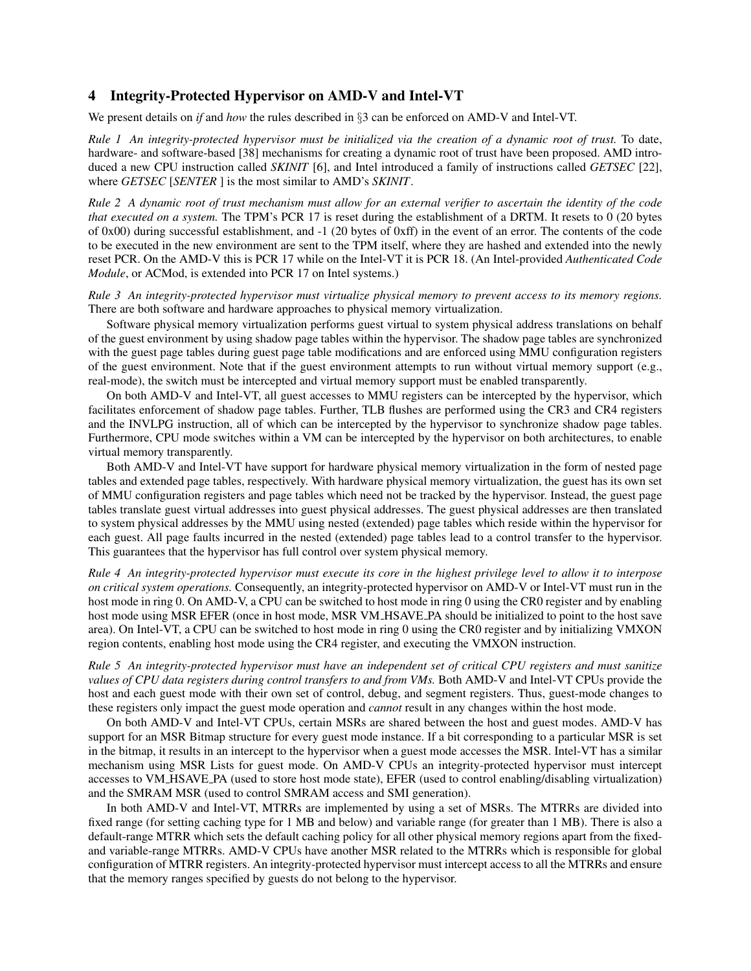# 4 Integrity-Protected Hypervisor on AMD-V and Intel-VT

We present details on *if* and *how* the rules described in §3 can be enforced on AMD-V and Intel-VT.

*Rule 1 An integrity-protected hypervisor must be initialized via the creation of a dynamic root of trust.* To date, hardware- and software-based [38] mechanisms for creating a dynamic root of trust have been proposed. AMD introduced a new CPU instruction called *SKINIT* [6], and Intel introduced a family of instructions called *GETSEC* [22], where *GETSEC* [*SENTER* ] is the most similar to AMD's *SKINIT*.

*Rule 2 A dynamic root of trust mechanism must allow for an external verifier to ascertain the identity of the code that executed on a system.* The TPM's PCR 17 is reset during the establishment of a DRTM. It resets to 0 (20 bytes of 0x00) during successful establishment, and -1 (20 bytes of 0xff) in the event of an error. The contents of the code to be executed in the new environment are sent to the TPM itself, where they are hashed and extended into the newly reset PCR. On the AMD-V this is PCR 17 while on the Intel-VT it is PCR 18. (An Intel-provided *Authenticated Code Module*, or ACMod, is extended into PCR 17 on Intel systems.)

*Rule 3 An integrity-protected hypervisor must virtualize physical memory to prevent access to its memory regions.* There are both software and hardware approaches to physical memory virtualization.

Software physical memory virtualization performs guest virtual to system physical address translations on behalf of the guest environment by using shadow page tables within the hypervisor. The shadow page tables are synchronized with the guest page tables during guest page table modifications and are enforced using MMU configuration registers of the guest environment. Note that if the guest environment attempts to run without virtual memory support (e.g., real-mode), the switch must be intercepted and virtual memory support must be enabled transparently.

On both AMD-V and Intel-VT, all guest accesses to MMU registers can be intercepted by the hypervisor, which facilitates enforcement of shadow page tables. Further, TLB flushes are performed using the CR3 and CR4 registers and the INVLPG instruction, all of which can be intercepted by the hypervisor to synchronize shadow page tables. Furthermore, CPU mode switches within a VM can be intercepted by the hypervisor on both architectures, to enable virtual memory transparently.

Both AMD-V and Intel-VT have support for hardware physical memory virtualization in the form of nested page tables and extended page tables, respectively. With hardware physical memory virtualization, the guest has its own set of MMU configuration registers and page tables which need not be tracked by the hypervisor. Instead, the guest page tables translate guest virtual addresses into guest physical addresses. The guest physical addresses are then translated to system physical addresses by the MMU using nested (extended) page tables which reside within the hypervisor for each guest. All page faults incurred in the nested (extended) page tables lead to a control transfer to the hypervisor. This guarantees that the hypervisor has full control over system physical memory.

*Rule 4 An integrity-protected hypervisor must execute its core in the highest privilege level to allow it to interpose on critical system operations.* Consequently, an integrity-protected hypervisor on AMD-V or Intel-VT must run in the host mode in ring 0. On AMD-V, a CPU can be switched to host mode in ring 0 using the CR0 register and by enabling host mode using MSR EFER (once in host mode, MSR VM HSAVE PA should be initialized to point to the host save area). On Intel-VT, a CPU can be switched to host mode in ring 0 using the CR0 register and by initializing VMXON region contents, enabling host mode using the CR4 register, and executing the VMXON instruction.

*Rule 5 An integrity-protected hypervisor must have an independent set of critical CPU registers and must sanitize values of CPU data registers during control transfers to and from VMs.* Both AMD-V and Intel-VT CPUs provide the host and each guest mode with their own set of control, debug, and segment registers. Thus, guest-mode changes to these registers only impact the guest mode operation and *cannot* result in any changes within the host mode.

On both AMD-V and Intel-VT CPUs, certain MSRs are shared between the host and guest modes. AMD-V has support for an MSR Bitmap structure for every guest mode instance. If a bit corresponding to a particular MSR is set in the bitmap, it results in an intercept to the hypervisor when a guest mode accesses the MSR. Intel-VT has a similar mechanism using MSR Lists for guest mode. On AMD-V CPUs an integrity-protected hypervisor must intercept accesses to VM HSAVE PA (used to store host mode state), EFER (used to control enabling/disabling virtualization) and the SMRAM MSR (used to control SMRAM access and SMI generation).

In both AMD-V and Intel-VT, MTRRs are implemented by using a set of MSRs. The MTRRs are divided into fixed range (for setting caching type for 1 MB and below) and variable range (for greater than 1 MB). There is also a default-range MTRR which sets the default caching policy for all other physical memory regions apart from the fixedand variable-range MTRRs. AMD-V CPUs have another MSR related to the MTRRs which is responsible for global configuration of MTRR registers. An integrity-protected hypervisor must intercept access to all the MTRRs and ensure that the memory ranges specified by guests do not belong to the hypervisor.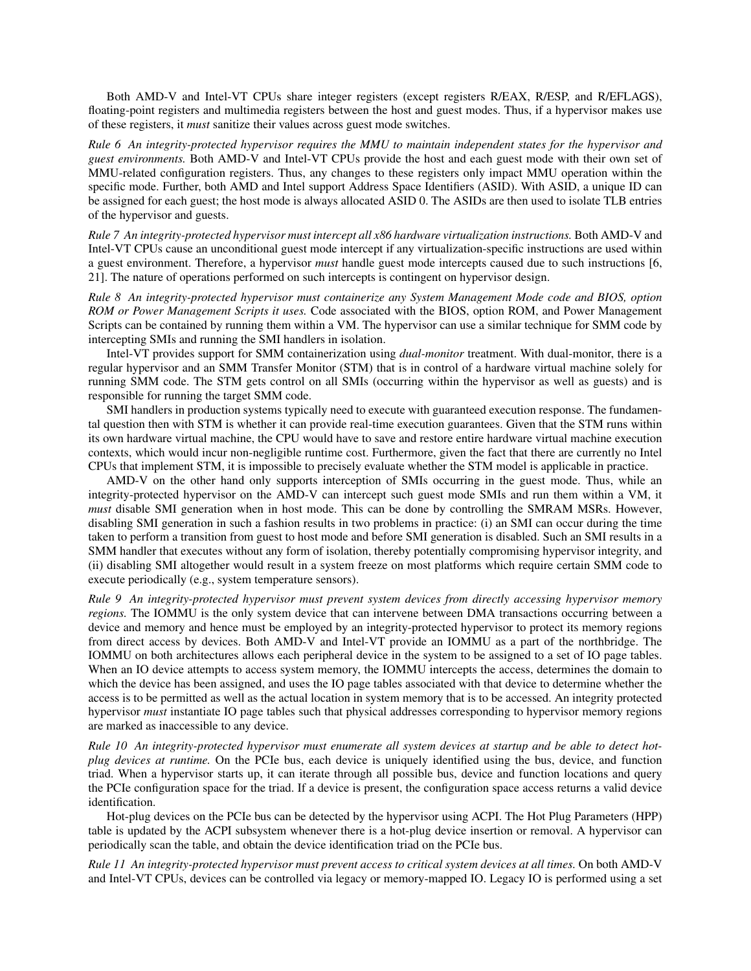Both AMD-V and Intel-VT CPUs share integer registers (except registers R/EAX, R/ESP, and R/EFLAGS), floating-point registers and multimedia registers between the host and guest modes. Thus, if a hypervisor makes use of these registers, it *must* sanitize their values across guest mode switches.

*Rule 6 An integrity-protected hypervisor requires the MMU to maintain independent states for the hypervisor and guest environments.* Both AMD-V and Intel-VT CPUs provide the host and each guest mode with their own set of MMU-related configuration registers. Thus, any changes to these registers only impact MMU operation within the specific mode. Further, both AMD and Intel support Address Space Identifiers (ASID). With ASID, a unique ID can be assigned for each guest; the host mode is always allocated ASID 0. The ASIDs are then used to isolate TLB entries of the hypervisor and guests.

*Rule 7 An integrity-protected hypervisor must intercept all x86 hardware virtualization instructions.* Both AMD-V and Intel-VT CPUs cause an unconditional guest mode intercept if any virtualization-specific instructions are used within a guest environment. Therefore, a hypervisor *must* handle guest mode intercepts caused due to such instructions [6, 21]. The nature of operations performed on such intercepts is contingent on hypervisor design.

*Rule 8 An integrity-protected hypervisor must containerize any System Management Mode code and BIOS, option ROM or Power Management Scripts it uses.* Code associated with the BIOS, option ROM, and Power Management Scripts can be contained by running them within a VM. The hypervisor can use a similar technique for SMM code by intercepting SMIs and running the SMI handlers in isolation.

Intel-VT provides support for SMM containerization using *dual-monitor* treatment. With dual-monitor, there is a regular hypervisor and an SMM Transfer Monitor (STM) that is in control of a hardware virtual machine solely for running SMM code. The STM gets control on all SMIs (occurring within the hypervisor as well as guests) and is responsible for running the target SMM code.

SMI handlers in production systems typically need to execute with guaranteed execution response. The fundamental question then with STM is whether it can provide real-time execution guarantees. Given that the STM runs within its own hardware virtual machine, the CPU would have to save and restore entire hardware virtual machine execution contexts, which would incur non-negligible runtime cost. Furthermore, given the fact that there are currently no Intel CPUs that implement STM, it is impossible to precisely evaluate whether the STM model is applicable in practice.

AMD-V on the other hand only supports interception of SMIs occurring in the guest mode. Thus, while an integrity-protected hypervisor on the AMD-V can intercept such guest mode SMIs and run them within a VM, it *must* disable SMI generation when in host mode. This can be done by controlling the SMRAM MSRs. However, disabling SMI generation in such a fashion results in two problems in practice: (i) an SMI can occur during the time taken to perform a transition from guest to host mode and before SMI generation is disabled. Such an SMI results in a SMM handler that executes without any form of isolation, thereby potentially compromising hypervisor integrity, and (ii) disabling SMI altogether would result in a system freeze on most platforms which require certain SMM code to execute periodically (e.g., system temperature sensors).

*Rule 9 An integrity-protected hypervisor must prevent system devices from directly accessing hypervisor memory regions*. The IOMMU is the only system device that can intervene between DMA transactions occurring between a device and memory and hence must be employed by an integrity-protected hypervisor to protect its memory regions from direct access by devices. Both AMD-V and Intel-VT provide an IOMMU as a part of the northbridge. The IOMMU on both architectures allows each peripheral device in the system to be assigned to a set of IO page tables. When an IO device attempts to access system memory, the IOMMU intercepts the access, determines the domain to which the device has been assigned, and uses the IO page tables associated with that device to determine whether the access is to be permitted as well as the actual location in system memory that is to be accessed. An integrity protected hypervisor *must* instantiate IO page tables such that physical addresses corresponding to hypervisor memory regions are marked as inaccessible to any device.

*Rule 10 An integrity-protected hypervisor must enumerate all system devices at startup and be able to detect hotplug devices at runtime.* On the PCIe bus, each device is uniquely identified using the bus, device, and function triad. When a hypervisor starts up, it can iterate through all possible bus, device and function locations and query the PCIe configuration space for the triad. If a device is present, the configuration space access returns a valid device identification.

Hot-plug devices on the PCIe bus can be detected by the hypervisor using ACPI. The Hot Plug Parameters (HPP) table is updated by the ACPI subsystem whenever there is a hot-plug device insertion or removal. A hypervisor can periodically scan the table, and obtain the device identification triad on the PCIe bus.

*Rule 11 An integrity-protected hypervisor must prevent access to critical system devices at all times.* On both AMD-V and Intel-VT CPUs, devices can be controlled via legacy or memory-mapped IO. Legacy IO is performed using a set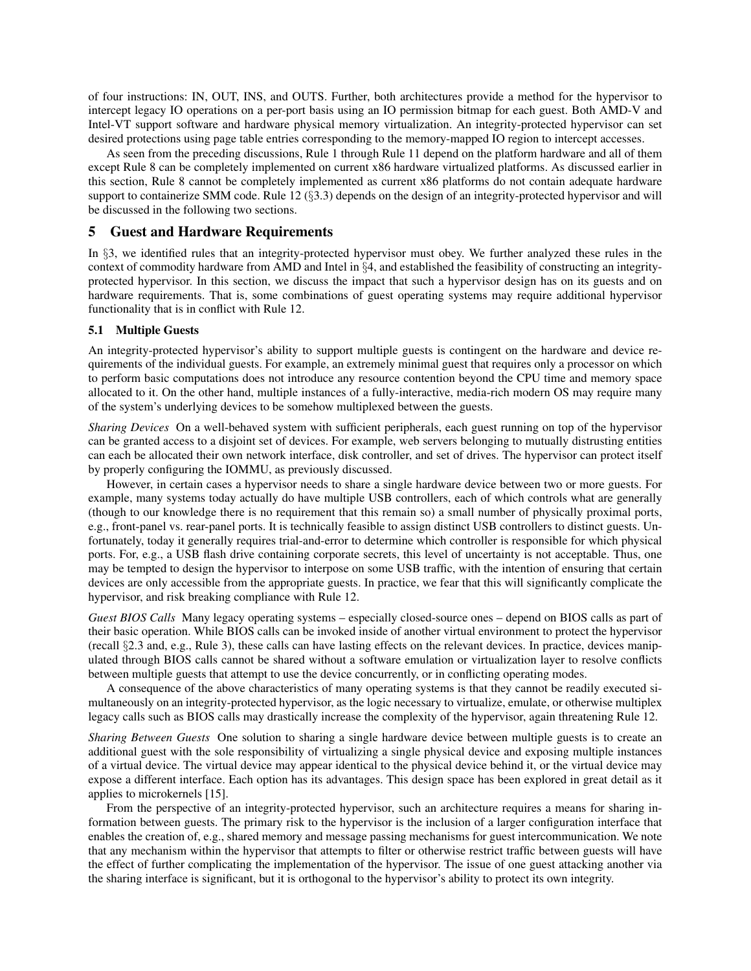of four instructions: IN, OUT, INS, and OUTS. Further, both architectures provide a method for the hypervisor to intercept legacy IO operations on a per-port basis using an IO permission bitmap for each guest. Both AMD-V and Intel-VT support software and hardware physical memory virtualization. An integrity-protected hypervisor can set desired protections using page table entries corresponding to the memory-mapped IO region to intercept accesses.

As seen from the preceding discussions, Rule 1 through Rule 11 depend on the platform hardware and all of them except Rule 8 can be completely implemented on current x86 hardware virtualized platforms. As discussed earlier in this section, Rule 8 cannot be completely implemented as current x86 platforms do not contain adequate hardware support to containerize SMM code. Rule 12 (§3.3) depends on the design of an integrity-protected hypervisor and will be discussed in the following two sections.

# 5 Guest and Hardware Requirements

In §3, we identified rules that an integrity-protected hypervisor must obey. We further analyzed these rules in the context of commodity hardware from AMD and Intel in §4, and established the feasibility of constructing an integrityprotected hypervisor. In this section, we discuss the impact that such a hypervisor design has on its guests and on hardware requirements. That is, some combinations of guest operating systems may require additional hypervisor functionality that is in conflict with Rule 12.

## 5.1 Multiple Guests

An integrity-protected hypervisor's ability to support multiple guests is contingent on the hardware and device requirements of the individual guests. For example, an extremely minimal guest that requires only a processor on which to perform basic computations does not introduce any resource contention beyond the CPU time and memory space allocated to it. On the other hand, multiple instances of a fully-interactive, media-rich modern OS may require many of the system's underlying devices to be somehow multiplexed between the guests.

*Sharing Devices* On a well-behaved system with sufficient peripherals, each guest running on top of the hypervisor can be granted access to a disjoint set of devices. For example, web servers belonging to mutually distrusting entities can each be allocated their own network interface, disk controller, and set of drives. The hypervisor can protect itself by properly configuring the IOMMU, as previously discussed.

However, in certain cases a hypervisor needs to share a single hardware device between two or more guests. For example, many systems today actually do have multiple USB controllers, each of which controls what are generally (though to our knowledge there is no requirement that this remain so) a small number of physically proximal ports, e.g., front-panel vs. rear-panel ports. It is technically feasible to assign distinct USB controllers to distinct guests. Unfortunately, today it generally requires trial-and-error to determine which controller is responsible for which physical ports. For, e.g., a USB flash drive containing corporate secrets, this level of uncertainty is not acceptable. Thus, one may be tempted to design the hypervisor to interpose on some USB traffic, with the intention of ensuring that certain devices are only accessible from the appropriate guests. In practice, we fear that this will significantly complicate the hypervisor, and risk breaking compliance with Rule 12.

*Guest BIOS Calls* Many legacy operating systems – especially closed-source ones – depend on BIOS calls as part of their basic operation. While BIOS calls can be invoked inside of another virtual environment to protect the hypervisor (recall §2.3 and, e.g., Rule 3), these calls can have lasting effects on the relevant devices. In practice, devices manipulated through BIOS calls cannot be shared without a software emulation or virtualization layer to resolve conflicts between multiple guests that attempt to use the device concurrently, or in conflicting operating modes.

A consequence of the above characteristics of many operating systems is that they cannot be readily executed simultaneously on an integrity-protected hypervisor, as the logic necessary to virtualize, emulate, or otherwise multiplex legacy calls such as BIOS calls may drastically increase the complexity of the hypervisor, again threatening Rule 12.

*Sharing Between Guests* One solution to sharing a single hardware device between multiple guests is to create an additional guest with the sole responsibility of virtualizing a single physical device and exposing multiple instances of a virtual device. The virtual device may appear identical to the physical device behind it, or the virtual device may expose a different interface. Each option has its advantages. This design space has been explored in great detail as it applies to microkernels [15].

From the perspective of an integrity-protected hypervisor, such an architecture requires a means for sharing information between guests. The primary risk to the hypervisor is the inclusion of a larger configuration interface that enables the creation of, e.g., shared memory and message passing mechanisms for guest intercommunication. We note that any mechanism within the hypervisor that attempts to filter or otherwise restrict traffic between guests will have the effect of further complicating the implementation of the hypervisor. The issue of one guest attacking another via the sharing interface is significant, but it is orthogonal to the hypervisor's ability to protect its own integrity.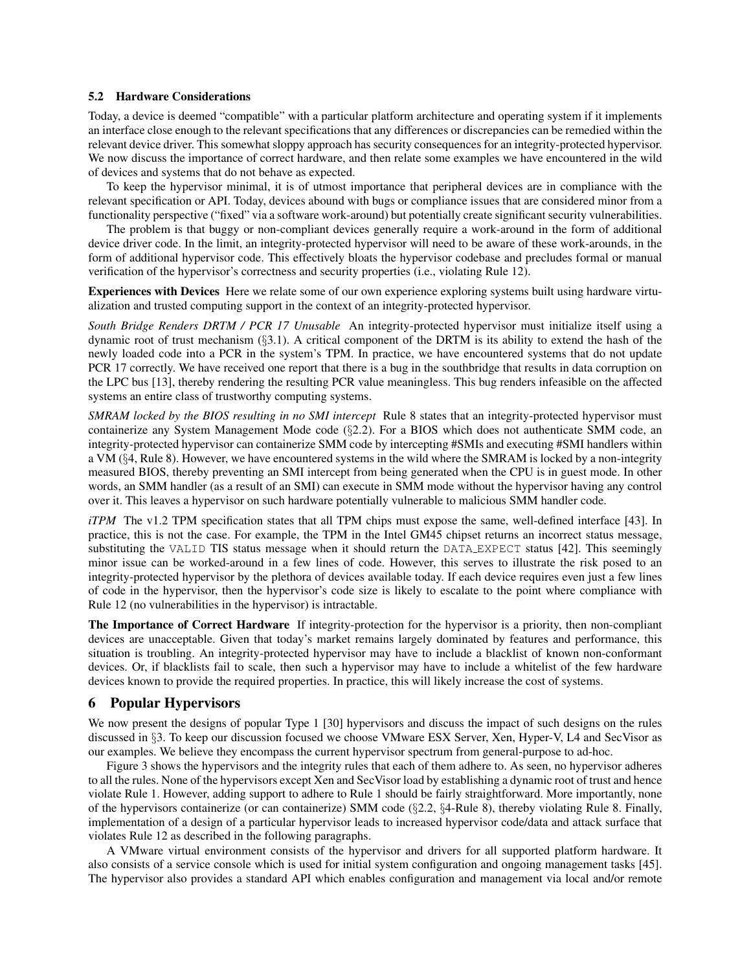#### 5.2 Hardware Considerations

Today, a device is deemed "compatible" with a particular platform architecture and operating system if it implements an interface close enough to the relevant specifications that any differences or discrepancies can be remedied within the relevant device driver. This somewhat sloppy approach has security consequences for an integrity-protected hypervisor. We now discuss the importance of correct hardware, and then relate some examples we have encountered in the wild of devices and systems that do not behave as expected.

To keep the hypervisor minimal, it is of utmost importance that peripheral devices are in compliance with the relevant specification or API. Today, devices abound with bugs or compliance issues that are considered minor from a functionality perspective ("fixed" via a software work-around) but potentially create significant security vulnerabilities.

The problem is that buggy or non-compliant devices generally require a work-around in the form of additional device driver code. In the limit, an integrity-protected hypervisor will need to be aware of these work-arounds, in the form of additional hypervisor code. This effectively bloats the hypervisor codebase and precludes formal or manual verification of the hypervisor's correctness and security properties (i.e., violating Rule 12).

Experiences with Devices Here we relate some of our own experience exploring systems built using hardware virtualization and trusted computing support in the context of an integrity-protected hypervisor.

*South Bridge Renders DRTM / PCR 17 Unusable* An integrity-protected hypervisor must initialize itself using a dynamic root of trust mechanism  $(\S3.1)$ . A critical component of the DRTM is its ability to extend the hash of the newly loaded code into a PCR in the system's TPM. In practice, we have encountered systems that do not update PCR 17 correctly. We have received one report that there is a bug in the southbridge that results in data corruption on the LPC bus [13], thereby rendering the resulting PCR value meaningless. This bug renders infeasible on the affected systems an entire class of trustworthy computing systems.

*SMRAM locked by the BIOS resulting in no SMI intercept* Rule 8 states that an integrity-protected hypervisor must containerize any System Management Mode code (§2.2). For a BIOS which does not authenticate SMM code, an integrity-protected hypervisor can containerize SMM code by intercepting #SMIs and executing #SMI handlers within a VM (§4, Rule 8). However, we have encountered systems in the wild where the SMRAM is locked by a non-integrity measured BIOS, thereby preventing an SMI intercept from being generated when the CPU is in guest mode. In other words, an SMM handler (as a result of an SMI) can execute in SMM mode without the hypervisor having any control over it. This leaves a hypervisor on such hardware potentially vulnerable to malicious SMM handler code.

*iTPM* The v1.2 TPM specification states that all TPM chips must expose the same, well-defined interface [43]. In practice, this is not the case. For example, the TPM in the Intel GM45 chipset returns an incorrect status message, substituting the VALID TIS status message when it should return the DATA EXPECT status [42]. This seemingly minor issue can be worked-around in a few lines of code. However, this serves to illustrate the risk posed to an integrity-protected hypervisor by the plethora of devices available today. If each device requires even just a few lines of code in the hypervisor, then the hypervisor's code size is likely to escalate to the point where compliance with Rule 12 (no vulnerabilities in the hypervisor) is intractable.

The Importance of Correct Hardware If integrity-protection for the hypervisor is a priority, then non-compliant devices are unacceptable. Given that today's market remains largely dominated by features and performance, this situation is troubling. An integrity-protected hypervisor may have to include a blacklist of known non-conformant devices. Or, if blacklists fail to scale, then such a hypervisor may have to include a whitelist of the few hardware devices known to provide the required properties. In practice, this will likely increase the cost of systems.

## 6 Popular Hypervisors

We now present the designs of popular Type 1 [30] hypervisors and discuss the impact of such designs on the rules discussed in §3. To keep our discussion focused we choose VMware ESX Server, Xen, Hyper-V, L4 and SecVisor as our examples. We believe they encompass the current hypervisor spectrum from general-purpose to ad-hoc.

Figure 3 shows the hypervisors and the integrity rules that each of them adhere to. As seen, no hypervisor adheres to all the rules. None of the hypervisors except Xen and SecVisor load by establishing a dynamic root of trust and hence violate Rule 1. However, adding support to adhere to Rule 1 should be fairly straightforward. More importantly, none of the hypervisors containerize (or can containerize) SMM code (§2.2, §4-Rule 8), thereby violating Rule 8. Finally, implementation of a design of a particular hypervisor leads to increased hypervisor code/data and attack surface that violates Rule 12 as described in the following paragraphs.

A VMware virtual environment consists of the hypervisor and drivers for all supported platform hardware. It also consists of a service console which is used for initial system configuration and ongoing management tasks [45]. The hypervisor also provides a standard API which enables configuration and management via local and/or remote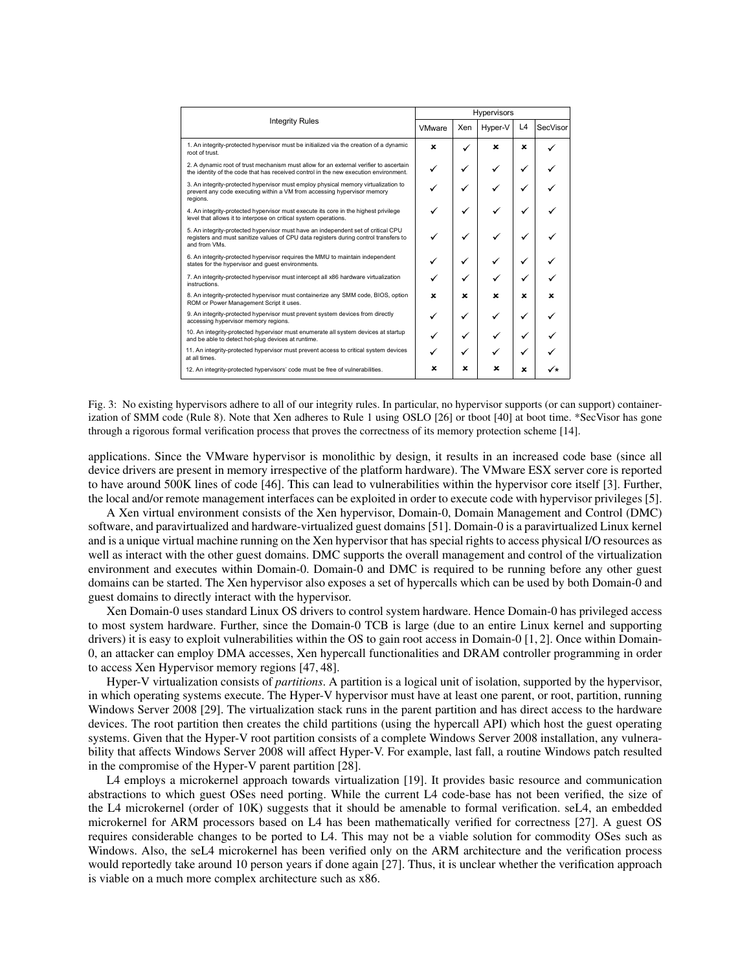| <b>Integrity Rules</b>                                                                                                                                                                     | <b>Hypervisors</b> |     |         |              |          |
|--------------------------------------------------------------------------------------------------------------------------------------------------------------------------------------------|--------------------|-----|---------|--------------|----------|
|                                                                                                                                                                                            | <b>VMware</b>      | Xen | Hyper-V | L4           | SecVisor |
| 1. An integrity-protected hypervisor must be initialized via the creation of a dynamic<br>root of trust.                                                                                   | ×                  | ✓   | ×       | ×            |          |
| 2. A dynamic root of trust mechanism must allow for an external verifier to ascertain<br>the identity of the code that has received control in the new execution environment.              |                    | ✓   | ✓       | v            |          |
| 3. An integrity-protected hypervisor must employ physical memory virtualization to<br>prevent any code executing within a VM from accessing hypervisor memory<br>regions.                  |                    | ✓   |         | $\checkmark$ |          |
| 4. An integrity-protected hypervisor must execute its core in the highest privilege<br>level that allows it to interpose on critical system operations.                                    |                    | ✓   |         | ✓            |          |
| 5. An integrity-protected hypervisor must have an independent set of critical CPU<br>registers and must sanitize values of CPU data registers during control transfers to<br>and from VMs. | ✓                  | ✓   | ✓       |              |          |
| 6. An integrity-protected hypervisor requires the MMU to maintain independent<br>states for the hypervisor and quest environments.                                                         | ✓                  | ✓   | ✓       |              |          |
| 7. An integrity-protected hypervisor must intercept all x86 hardware virtualization<br>instructions.                                                                                       |                    | ✓   |         | ✓            |          |
| 8. An integrity-protected hypervisor must containerize any SMM code, BIOS, option<br>ROM or Power Management Script it uses.                                                               | ×                  | ×   | ×       | ×            | ×        |
| 9. An integrity-protected hypervisor must prevent system devices from directly<br>accessing hypervisor memory regions.                                                                     |                    | ✓   | ✓       | $\checkmark$ |          |
| 10. An integrity-protected hypervisor must enumerate all system devices at startup<br>and be able to detect hot-plug devices at runtime.                                                   |                    | ✓   | ✓       | ✓            |          |
| 11. An integrity-protected hypervisor must prevent access to critical system devices<br>at all times.                                                                                      |                    | ✓   |         | ✓            |          |
| 12. An integrity-protected hypervisors' code must be free of vulnerabilities.                                                                                                              | ×                  | ×   | ×       | ×            |          |

Fig. 3: No existing hypervisors adhere to all of our integrity rules. In particular, no hypervisor supports (or can support) containerization of SMM code (Rule 8). Note that Xen adheres to Rule 1 using OSLO [26] or tboot [40] at boot time. \*SecVisor has gone through a rigorous formal verification process that proves the correctness of its memory protection scheme [14].

applications. Since the VMware hypervisor is monolithic by design, it results in an increased code base (since all device drivers are present in memory irrespective of the platform hardware). The VMware ESX server core is reported to have around 500K lines of code [46]. This can lead to vulnerabilities within the hypervisor core itself [3]. Further, the local and/or remote management interfaces can be exploited in order to execute code with hypervisor privileges [5].

A Xen virtual environment consists of the Xen hypervisor, Domain-0, Domain Management and Control (DMC) software, and paravirtualized and hardware-virtualized guest domains [51]. Domain-0 is a paravirtualized Linux kernel and is a unique virtual machine running on the Xen hypervisor that has special rights to access physical I/O resources as well as interact with the other guest domains. DMC supports the overall management and control of the virtualization environment and executes within Domain-0. Domain-0 and DMC is required to be running before any other guest domains can be started. The Xen hypervisor also exposes a set of hypercalls which can be used by both Domain-0 and guest domains to directly interact with the hypervisor.

Xen Domain-0 uses standard Linux OS drivers to control system hardware. Hence Domain-0 has privileged access to most system hardware. Further, since the Domain-0 TCB is large (due to an entire Linux kernel and supporting drivers) it is easy to exploit vulnerabilities within the OS to gain root access in Domain-0 [1, 2]. Once within Domain-0, an attacker can employ DMA accesses, Xen hypercall functionalities and DRAM controller programming in order to access Xen Hypervisor memory regions [47, 48].

Hyper-V virtualization consists of *partitions*. A partition is a logical unit of isolation, supported by the hypervisor, in which operating systems execute. The Hyper-V hypervisor must have at least one parent, or root, partition, running Windows Server 2008 [29]. The virtualization stack runs in the parent partition and has direct access to the hardware devices. The root partition then creates the child partitions (using the hypercall API) which host the guest operating systems. Given that the Hyper-V root partition consists of a complete Windows Server 2008 installation, any vulnerability that affects Windows Server 2008 will affect Hyper-V. For example, last fall, a routine Windows patch resulted in the compromise of the Hyper-V parent partition [28].

L4 employs a microkernel approach towards virtualization [19]. It provides basic resource and communication abstractions to which guest OSes need porting. While the current L4 code-base has not been verified, the size of the L4 microkernel (order of 10K) suggests that it should be amenable to formal verification. seL4, an embedded microkernel for ARM processors based on L4 has been mathematically verified for correctness [27]. A guest OS requires considerable changes to be ported to L4. This may not be a viable solution for commodity OSes such as Windows. Also, the seL4 microkernel has been verified only on the ARM architecture and the verification process would reportedly take around 10 person years if done again [27]. Thus, it is unclear whether the verification approach is viable on a much more complex architecture such as x86.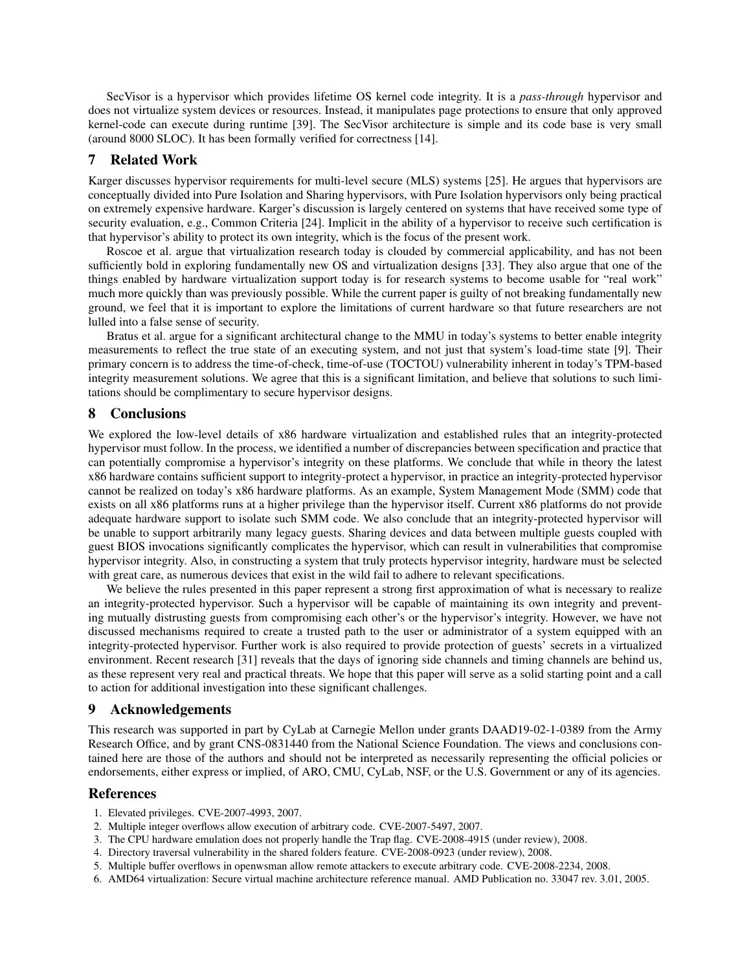SecVisor is a hypervisor which provides lifetime OS kernel code integrity. It is a *pass-through* hypervisor and does not virtualize system devices or resources. Instead, it manipulates page protections to ensure that only approved kernel-code can execute during runtime [39]. The SecVisor architecture is simple and its code base is very small (around 8000 SLOC). It has been formally verified for correctness [14].

## 7 Related Work

Karger discusses hypervisor requirements for multi-level secure (MLS) systems [25]. He argues that hypervisors are conceptually divided into Pure Isolation and Sharing hypervisors, with Pure Isolation hypervisors only being practical on extremely expensive hardware. Karger's discussion is largely centered on systems that have received some type of security evaluation, e.g., Common Criteria [24]. Implicit in the ability of a hypervisor to receive such certification is that hypervisor's ability to protect its own integrity, which is the focus of the present work.

Roscoe et al. argue that virtualization research today is clouded by commercial applicability, and has not been sufficiently bold in exploring fundamentally new OS and virtualization designs [33]. They also argue that one of the things enabled by hardware virtualization support today is for research systems to become usable for "real work" much more quickly than was previously possible. While the current paper is guilty of not breaking fundamentally new ground, we feel that it is important to explore the limitations of current hardware so that future researchers are not lulled into a false sense of security.

Bratus et al. argue for a significant architectural change to the MMU in today's systems to better enable integrity measurements to reflect the true state of an executing system, and not just that system's load-time state [9]. Their primary concern is to address the time-of-check, time-of-use (TOCTOU) vulnerability inherent in today's TPM-based integrity measurement solutions. We agree that this is a significant limitation, and believe that solutions to such limitations should be complimentary to secure hypervisor designs.

#### 8 Conclusions

We explored the low-level details of x86 hardware virtualization and established rules that an integrity-protected hypervisor must follow. In the process, we identified a number of discrepancies between specification and practice that can potentially compromise a hypervisor's integrity on these platforms. We conclude that while in theory the latest x86 hardware contains sufficient support to integrity-protect a hypervisor, in practice an integrity-protected hypervisor cannot be realized on today's x86 hardware platforms. As an example, System Management Mode (SMM) code that exists on all x86 platforms runs at a higher privilege than the hypervisor itself. Current x86 platforms do not provide adequate hardware support to isolate such SMM code. We also conclude that an integrity-protected hypervisor will be unable to support arbitrarily many legacy guests. Sharing devices and data between multiple guests coupled with guest BIOS invocations significantly complicates the hypervisor, which can result in vulnerabilities that compromise hypervisor integrity. Also, in constructing a system that truly protects hypervisor integrity, hardware must be selected with great care, as numerous devices that exist in the wild fail to adhere to relevant specifications.

We believe the rules presented in this paper represent a strong first approximation of what is necessary to realize an integrity-protected hypervisor. Such a hypervisor will be capable of maintaining its own integrity and preventing mutually distrusting guests from compromising each other's or the hypervisor's integrity. However, we have not discussed mechanisms required to create a trusted path to the user or administrator of a system equipped with an integrity-protected hypervisor. Further work is also required to provide protection of guests' secrets in a virtualized environment. Recent research [31] reveals that the days of ignoring side channels and timing channels are behind us, as these represent very real and practical threats. We hope that this paper will serve as a solid starting point and a call to action for additional investigation into these significant challenges.

## 9 Acknowledgements

This research was supported in part by CyLab at Carnegie Mellon under grants DAAD19-02-1-0389 from the Army Research Office, and by grant CNS-0831440 from the National Science Foundation. The views and conclusions contained here are those of the authors and should not be interpreted as necessarily representing the official policies or endorsements, either express or implied, of ARO, CMU, CyLab, NSF, or the U.S. Government or any of its agencies.

#### References

- 1. Elevated privileges. CVE-2007-4993, 2007.
- 2. Multiple integer overflows allow execution of arbitrary code. CVE-2007-5497, 2007.
- 3. The CPU hardware emulation does not properly handle the Trap flag. CVE-2008-4915 (under review), 2008.
- 4. Directory traversal vulnerability in the shared folders feature. CVE-2008-0923 (under review), 2008.
- 5. Multiple buffer overflows in openwsman allow remote attackers to execute arbitrary code. CVE-2008-2234, 2008.
- 6. AMD64 virtualization: Secure virtual machine architecture reference manual. AMD Publication no. 33047 rev. 3.01, 2005.